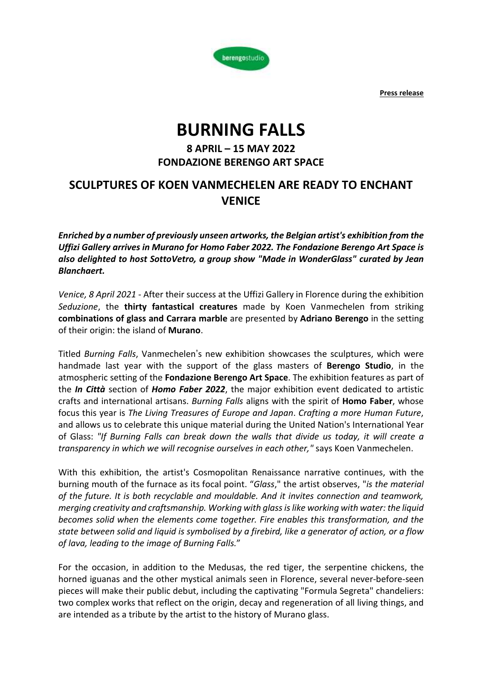**Press release**



# **BURNING FALLS**

### **8 APRIL – 15 MAY 2022 FONDAZIONE BERENGO ART SPACE**

## **SCULPTURES OF KOEN VANMECHELEN ARE READY TO ENCHANT VENICE**

*Enriched by a number of previously unseen artworks, the Belgian artist's exhibition from the Uffizi Gallery arrives in Murano for Homo Faber 2022. The Fondazione Berengo Art Space is also delighted to host SottoVetro, a group show "Made in WonderGlass" curated by Jean Blanchaert.*

*Venice, 8 April 2021* - After their success at the Uffizi Gallery in Florence during the exhibition *Seduzione*, the **thirty fantastical creatures** made by Koen Vanmechelen from striking **combinations of glass and Carrara marble** are presented by **Adriano Berengo** in the setting of their origin: the island of **Murano**.

Titled *Burning Falls*, Vanmechelen's new exhibition showcases the sculptures, which were handmade last year with the support of the glass masters of **Berengo Studio**, in the atmospheric setting of the **Fondazione Berengo Art Space**. The exhibition features as part of the *In Città* section of *Homo Faber 2022*, the major exhibition event dedicated to artistic crafts and international artisans. *Burning Falls* aligns with the spirit of **Homo Faber**, whose focus this year is *The Living Treasures of Europe and Japan*. *Crafting a more Human Future*, and allows us to celebrate this unique material during the United Nation's International Year of Glass: *"If Burning Falls can break down the walls that divide us today, it will create a transparency in which we will recognise ourselves in each other,"* says Koen Vanmechelen.

With this exhibition, the artist's Cosmopolitan Renaissance narrative continues, with the burning mouth of the furnace as its focal point. "*Glass*," the artist observes, "*is the material of the future. It is both recyclable and mouldable. And it invites connection and teamwork, merging creativity and craftsmanship. Working with glassislike working with water: the liquid becomes solid when the elements come together. Fire enables this transformation, and the state between solid and liquid is symbolised by a firebird, like a generator of action, or a flow of lava, leading to the image of Burning Falls.*"

For the occasion, in addition to the Medusas, the red tiger, the serpentine chickens, the horned iguanas and the other mystical animals seen in Florence, several never-before-seen pieces will make their public debut, including the captivating "Formula Segreta" chandeliers: two complex works that reflect on the origin, decay and regeneration of all living things, and are intended as a tribute by the artist to the history of Murano glass.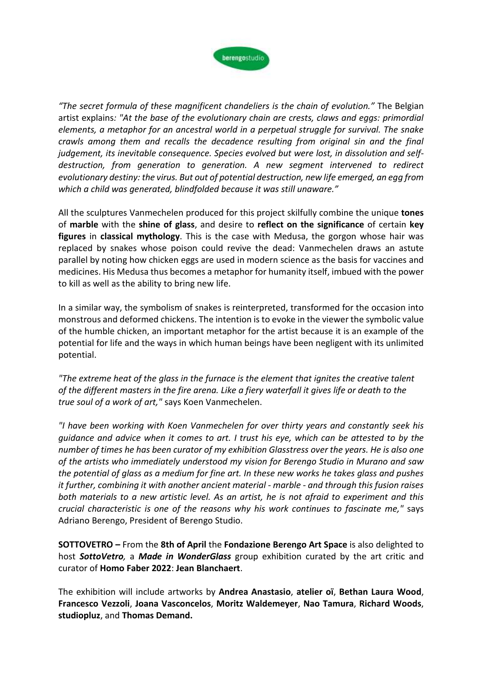

*"The secret formula of these magnificent chandeliers is the chain of evolution."* The Belgian artist explains*: "At the base of the evolutionary chain are crests, claws and eggs: primordial elements, a metaphor for an ancestral world in a perpetual struggle for survival. The snake crawls among them and recalls the decadence resulting from original sin and the final judgement, its inevitable consequence. Species evolved but were lost, in dissolution and selfdestruction, from generation to generation. A new segment intervened to redirect evolutionary destiny: the virus. But out of potential destruction, new life emerged, an egg from which a child was generated, blindfolded because it was still unaware."*

All the sculptures Vanmechelen produced for this project skilfully combine the unique **tones** of **marble** with the **shine of glass**, and desire to **reflect on the significance** of certain **key figures** in **classical mythology**. This is the case with Medusa, the gorgon whose hair was replaced by snakes whose poison could revive the dead: Vanmechelen draws an astute parallel by noting how chicken eggs are used in modern science as the basis for vaccines and medicines. His Medusa thus becomes a metaphor for humanity itself, imbued with the power to kill as well as the ability to bring new life.

In a similar way, the symbolism of snakes is reinterpreted, transformed for the occasion into monstrous and deformed chickens. The intention is to evoke in the viewer the symbolic value of the humble chicken, an important metaphor for the artist because it is an example of the potential for life and the ways in which human beings have been negligent with its unlimited potential.

*"The extreme heat of the glass in the furnace is the element that ignites the creative talent* of the different masters in the fire arena. Like a fiery waterfall it gives life or death to the *true soul of a work of art,"* says Koen Vanmechelen.

*"I have been working with Koen Vanmechelen for over thirty years and constantly seek his guidance and advice when it comes to art. I trust his eye, which can be attested to by the number of times he has been curator of my exhibition Glasstress over the years. He is also one of the artists who immediately understood my vision for Berengo Studio in Murano and saw* the potential of glass as a medium for fine art. In these new works he takes glass and pushes *it further, combining it with another ancient material - marble - and through this fusion raises both materials to a new artistic level. As an artist, he is not afraid to experiment and this crucial characteristic is one of the reasons why his work continues to fascinate me,"* says Adriano Berengo, President of Berengo Studio.

**SOTTOVETRO –** From the **8th of April** the **Fondazione Berengo Art Space** is also delighted to host *SottoVetro,* a *Made in WonderGlass* group exhibition curated by the art critic and curator of **Homo Faber 2022**: **Jean Blanchaert**.

The exhibition will include artworks by **Andrea Anastasio**, **atelier oï**, **Bethan Laura Wood**, **Francesco Vezzoli**, **Joana Vasconcelos**, **Moritz Waldemeyer**, **Nao Tamura**, **Richard Woods**, **studiopluz**, and **Thomas Demand.**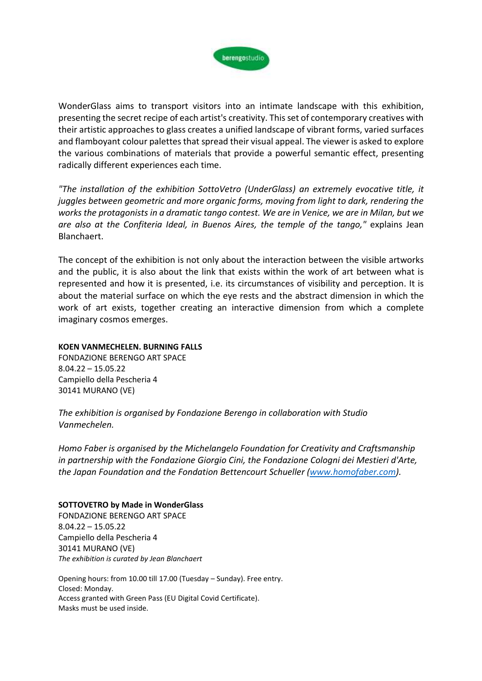

WonderGlass aims to transport visitors into an intimate landscape with this exhibition, presenting the secret recipe of each artist's creativity. Thisset of contemporary creatives with their artistic approaches to glass creates a unified landscape of vibrant forms, varied surfaces and flamboyant colour palettes that spread their visual appeal. The viewer is asked to explore the various combinations of materials that provide a powerful semantic effect, presenting radically different experiences each time.

*"The installation of the exhibition SottoVetro (UnderGlass) an extremely evocative title, it juggles between geometric and more organic forms, moving from light to dark, rendering the works the protagonists in a dramatic tango contest. We are in Venice, we are in Milan, but we are also at the Confiteria Ideal, in Buenos Aires, the temple of the tango,"* explains Jean Blanchaert.

The concept of the exhibition is not only about the interaction between the visible artworks and the public, it is also about the link that exists within the work of art between what is represented and how it is presented, i.e. its circumstances of visibility and perception. It is about the material surface on which the eye rests and the abstract dimension in which the work of art exists, together creating an interactive dimension from which a complete imaginary cosmos emerges.

#### **KOEN VANMECHELEN. BURNING FALLS**

FONDAZIONE BERENGO ART SPACE 8.04.22 – 15.05.22 Campiello della Pescheria 4 30141 MURANO (VE)

*The exhibition is organised by Fondazione Berengo in collaboration with Studio Vanmechelen.*

*Homo Faber is organised by the Michelangelo Foundation for Creativity and Craftsmanship in partnership with the Fondazione Giorgio Cini, the Fondazione Cologni dei Mestieri d'Arte, the Japan Foundation and the Fondation Bettencourt Schueller [\(www.homofaber.com\)](http://www.homofaber.com/).*

#### **SOTTOVETRO by Made in WonderGlass**

FONDAZIONE BERENGO ART SPACE 8.04.22 – 15.05.22 Campiello della Pescheria 4 30141 MURANO (VE) *The exhibition is curated by Jean Blanchaert*

Opening hours: from 10.00 till 17.00 (Tuesday – Sunday). Free entry. Closed: Monday. Access granted with Green Pass (EU Digital Covid Certificate). Masks must be used inside.